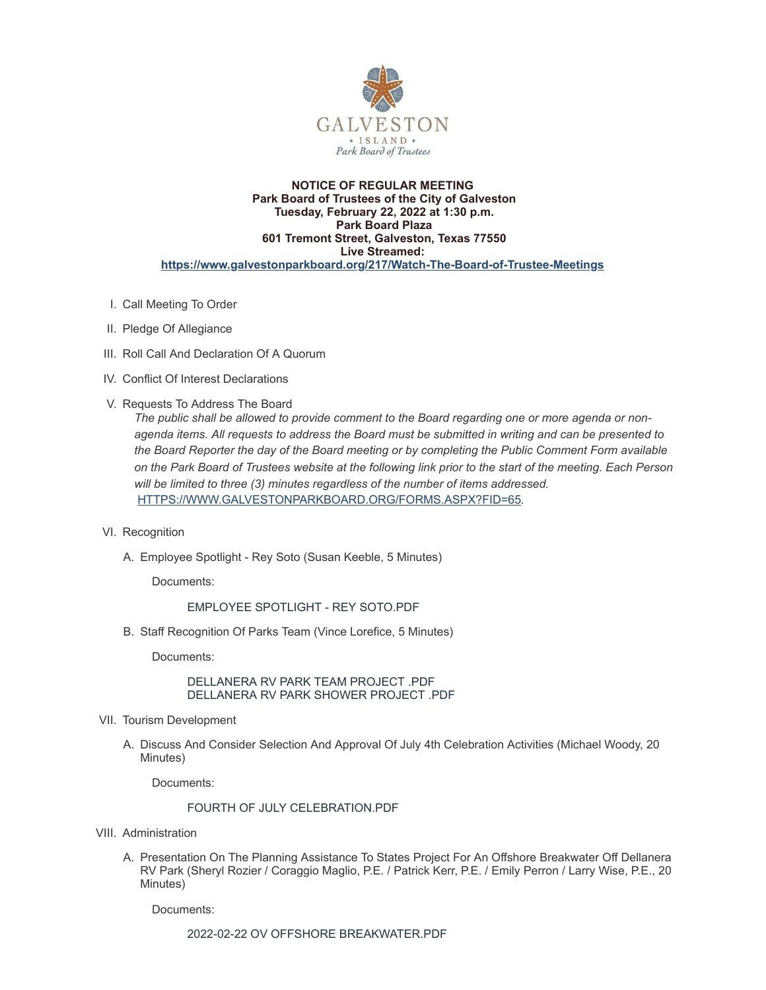

### **NOTICE OF REGULAR MEETING Park Board of Trustees of the City of Galveston Tuesday, February 22, 2022 at 1:30 p.m. Park Board Plaza 601 Tremont Street, Galveston, Texas 77550 Live Streamed: <https://www.galvestonparkboard.org/217/Watch-The-Board-of-Trustee-Meetings>**

- I. Call Meeting To Order
- II. Pledge Of Allegiance
- III. Roll Call And Declaration Of A Quorum
- IV. Conflict Of Interest Declarations
- V. Requests To Address The Board

*The public shall be allowed to provide comment to the Board regarding one or more agenda or non*agenda items. All requests to address the Board must be submitted in writing and can be presented to *the Board Reporter the day of the Board meeting or by completing the Public Comment Form available* on the Park Board of Trustees website at the following link prior to the start of the meeting. Each Person *will be limited to three (3) minutes regardless of the number of items addressed.* [HTTPS://WWW.GALVESTONPARKBOARD.ORG/FORMS.ASPX?FID=65](https://www.galvestonparkboard.org/forms.aspx?FID=65)*.*

- VI. Recognition
	- A. Employee Spotlight Rey Soto (Susan Keeble, 5 Minutes)

Documents:

# EMPLOYEE [SPOTLIGHT](https://www.galvestonparkboard.org/AgendaCenter/ViewFile/Item/7300?fileID=10713) - REY SOTO.PDF

B. Staff Recognition Of Parks Team (Vince Lorefice, 5 Minutes)

Documents:

[DELLANERA](https://www.galvestonparkboard.org/AgendaCenter/ViewFile/Item/7350?fileID=10790) RV PARK TEAM PROJECT .PDF [DELLANERA](https://www.galvestonparkboard.org/AgendaCenter/ViewFile/Item/7350?fileID=10791) RV PARK SHOWER PROJECT .PDF

- VII. Tourism Development
	- A. Discuss And Consider Selection And Approval Of July 4th Celebration Activities (Michael Woody, 20 Minutes)

Documents:

# FOURTH OF JULY [CELEBRATION.PDF](https://www.galvestonparkboard.org/AgendaCenter/ViewFile/Item/6926?fileID=10811)

- VIII. Administration
	- A. Presentation On The Planning Assistance To States Project For An Offshore Breakwater Off Dellanera RV Park (Sheryl Rozier / Coraggio Maglio, P.E. / Patrick Kerr, P.E. / Emily Perron / Larry Wise, P.E., 20 Minutes)

Documents:

2022-02-22 OV OFFSHORE [BREAKWATER.PDF](https://www.galvestonparkboard.org/AgendaCenter/ViewFile/Item/7326?fileID=10746)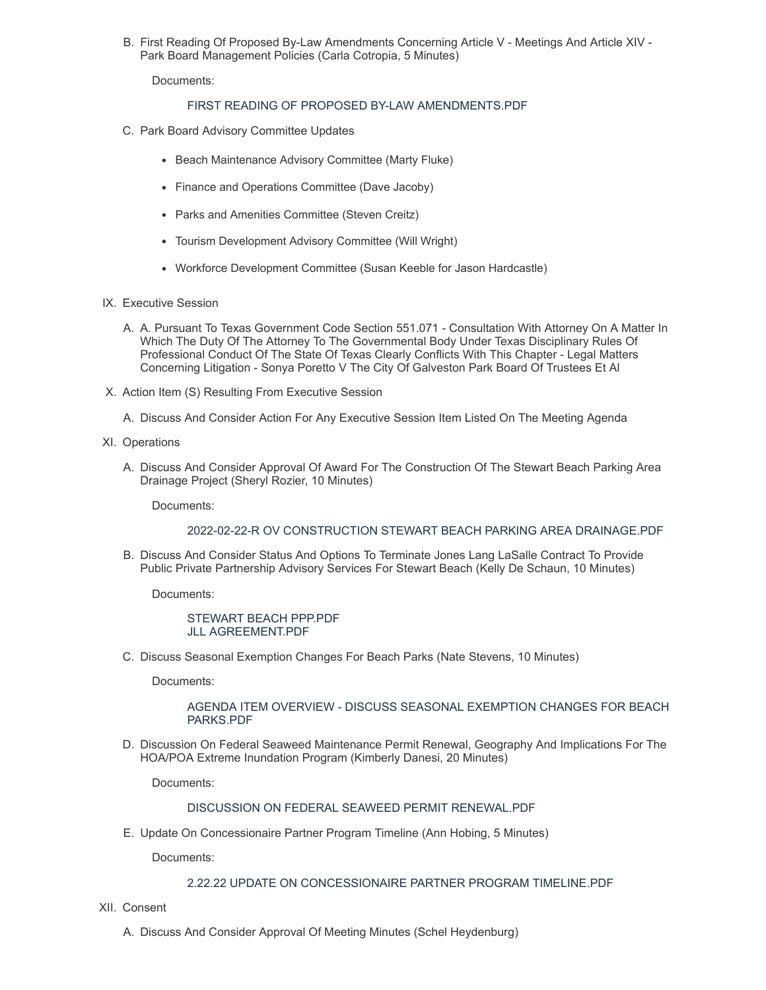B. First Reading Of Proposed By-Law Amendments Concerning Article V - Meetings And Article XIV - Park Board Management Policies (Carla Cotropia, 5 Minutes)

Documents:

### FIRST READING OF PROPOSED BY-LAW [AMENDMENTS.PDF](https://www.galvestonparkboard.org/AgendaCenter/ViewFile/Item/7367?fileID=10802)

- C. Park Board Advisory Committee Updates
	- Beach Maintenance Advisory Committee (Marty Fluke)
	- Finance and Operations Committee (Dave Jacoby)
	- Parks and Amenities Committee (Steven Creitz)
	- Tourism Development Advisory Committee (Will Wright)
	- Workforce Development Committee (Susan Keeble for Jason Hardcastle)
- IX. Executive Session
	- A. A. Pursuant To Texas Government Code Section 551.071 Consultation With Attorney On A Matter In Which The Duty Of The Attorney To The Governmental Body Under Texas Disciplinary Rules Of Professional Conduct Of The State Of Texas Clearly Conflicts With This Chapter - Legal Matters Concerning Litigation - Sonya Poretto V The City Of Galveston Park Board Of Trustees Et Al
- X. Action Item (S) Resulting From Executive Session
	- A. Discuss And Consider Action For Any Executive Session Item Listed On The Meeting Agenda
- XI. Operations
	- A. Discuss And Consider Approval Of Award For The Construction Of The Stewart Beach Parking Area Drainage Project (Sheryl Rozier, 10 Minutes)

Documents:

#### 2022-02-22-R OV [CONSTRUCTION](https://www.galvestonparkboard.org/AgendaCenter/ViewFile/Item/7327?fileID=10806) STEWART BEACH PARKING AREA DRAINAGE.PDF

B. Discuss And Consider Status And Options To Terminate Jones Lang LaSalle Contract To Provide Public Private Partnership Advisory Services For Stewart Beach (Kelly De Schaun, 10 Minutes)

Documents:

[STEWART](https://www.galvestonparkboard.org/AgendaCenter/ViewFile/Item/7385?fileID=10809) BEACH PPP.PDF JLL [AGREEMENT.PDF](https://www.galvestonparkboard.org/AgendaCenter/ViewFile/Item/7385?fileID=10810)

C. Discuss Seasonal Exemption Changes For Beach Parks (Nate Stevens, 10 Minutes)

Documents:

AGENDA ITEM OVERVIEW - DISCUSS SEASONAL [EXEMPTION](https://www.galvestonparkboard.org/AgendaCenter/ViewFile/Item/7388?fileID=10804) CHANGES FOR BEACH PARKS.PDF

D. Discussion On Federal Seaweed Maintenance Permit Renewal, Geography And Implications For The HOA/POA Extreme Inundation Program (Kimberly Danesi, 20 Minutes)

Documents:

#### DISCUSSION ON FEDERAL SEAWEED PERMIT [RENEWAL.PDF](https://www.galvestonparkboard.org/AgendaCenter/ViewFile/Item/7355?fileID=10808)

E. Update On Concessionaire Partner Program Timeline (Ann Hobing, 5 Minutes)

Documents:

#### 2.22.22 UPDATE ON [CONCESSIONAIRE](https://www.galvestonparkboard.org/AgendaCenter/ViewFile/Item/7332?fileID=10771) PARTNER PROGRAM TIMELINE.PDF

XII. Consent

A. Discuss And Consider Approval Of Meeting Minutes (Schel Heydenburg)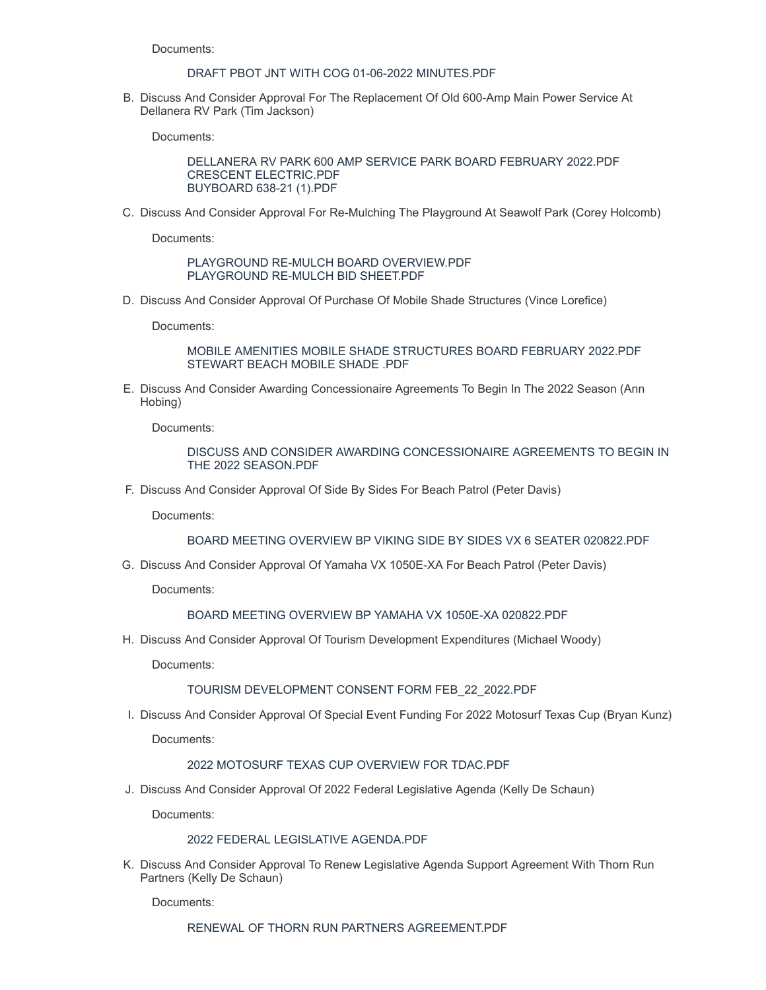Documents:

## DRAFT PBOT JNT WITH COG 01-06-2022 MINUTES PDF

B. Discuss And Consider Approval For The Replacement Of Old 600-Amp Main Power Service At Dellanera RV Park (Tim Jackson)

Documents:

[DELLANERA](https://www.galvestonparkboard.org/AgendaCenter/ViewFile/Item/7352?fileID=10792) RV PARK 600 AMP SERVICE PARK BOARD FEBRUARY 2022.PDF CRESCENT [ELECTRIC.PDF](https://www.galvestonparkboard.org/AgendaCenter/ViewFile/Item/7352?fileID=10798) [BUYBOARD](https://www.galvestonparkboard.org/AgendaCenter/ViewFile/Item/7352?fileID=10788) 638-21 (1).PDF

C. Discuss And Consider Approval For Re-Mulching The Playground At Seawolf Park (Corey Holcomb)

Documents:

PLAYGROUND RE-MULCH BOARD [OVERVIEW.PDF](https://www.galvestonparkboard.org/AgendaCenter/ViewFile/Item/7331?fileID=10770) [PLAYGROUND](https://www.galvestonparkboard.org/AgendaCenter/ViewFile/Item/7331?fileID=10797) RE-MULCH BID SHEET.PDF

D. Discuss And Consider Approval Of Purchase Of Mobile Shade Structures (Vince Lorefice)

Documents:

MOBILE AMENITIES MOBILE SHADE [STRUCTURES](https://www.galvestonparkboard.org/AgendaCenter/ViewFile/Item/7351?fileID=10783) BOARD FEBRUARY 2022.PDF [STEWART](https://www.galvestonparkboard.org/AgendaCenter/ViewFile/Item/7351?fileID=10784) BEACH MOBILE SHADE .PDF

E. Discuss And Consider Awarding Concessionaire Agreements To Begin In The 2022 Season (Ann Hobing)

Documents:

DISCUSS AND CONSIDER AWARDING [CONCESSIONAIRE](https://www.galvestonparkboard.org/AgendaCenter/ViewFile/Item/7333?fileID=10789) AGREEMENTS TO BEGIN IN THE 2022 SEASON.PDF

F. Discuss And Consider Approval Of Side By Sides For Beach Patrol (Peter Davis)

Documents:

BOARD MEETING OVERVIEW BP VIKING SIDE BY SIDES VX 6 SEATER [020822.PDF](https://www.galvestonparkboard.org/AgendaCenter/ViewFile/Item/7353?fileID=10793)

G. Discuss And Consider Approval Of Yamaha VX 1050E-XA For Beach Patrol (Peter Davis)

Documents:

# BOARD MEETING OVERVIEW BP YAMAHA VX 1050E-XA [020822.PDF](https://www.galvestonparkboard.org/AgendaCenter/ViewFile/Item/7354?fileID=10794)

H. Discuss And Consider Approval Of Tourism Development Expenditures (Michael Woody)

Documents:

#### TOURISM DEVELOPMENT CONSENT FORM [FEB\\_22\\_2022.PDF](https://www.galvestonparkboard.org/AgendaCenter/ViewFile/Item/7328?fileID=10796)

I. Discuss And Consider Approval Of Special Event Funding For 2022 Motosurf Texas Cup (Bryan Kunz)

Documents:

### 2022 [MOTOSURF](https://www.galvestonparkboard.org/AgendaCenter/ViewFile/Item/7349?fileID=10781) TEXAS CUP OVERVIEW FOR TDAC.PDF

J. Discuss And Consider Approval Of 2022 Federal Legislative Agenda (Kelly De Schaun)

Documents:

## 2022 FEDERAL LEGISLATIVE [AGENDA.PDF](https://www.galvestonparkboard.org/AgendaCenter/ViewFile/Item/7356?fileID=10799)

K. Discuss And Consider Approval To Renew Legislative Agenda Support Agreement With Thorn Run Partners (Kelly De Schaun)

Documents: